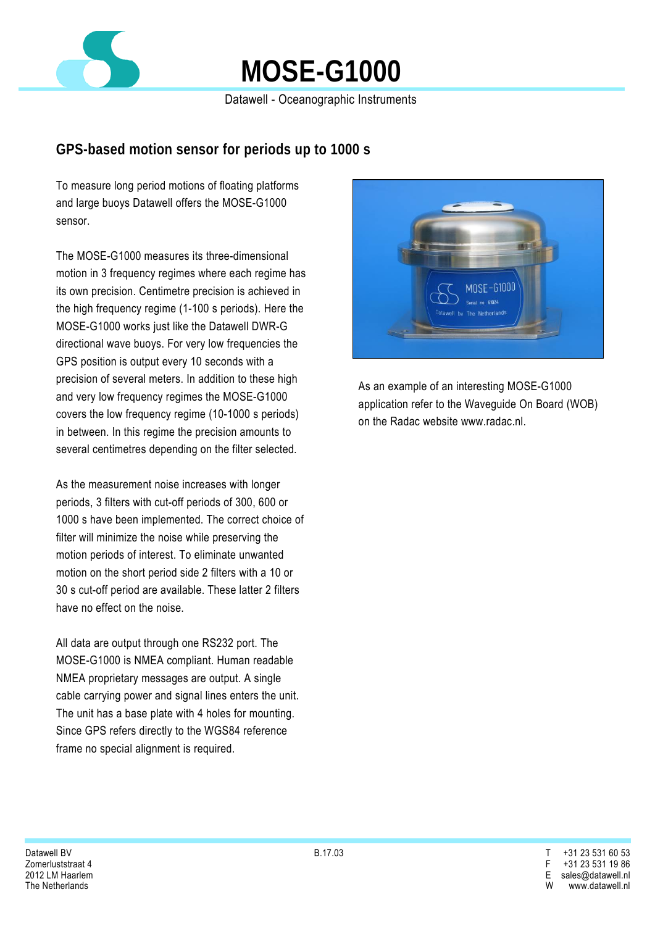

## **MOSE-G1000**

Datawell - Oceanographic Instruments

## **GPS-based motion sensor for periods up to 1000 s**

To measure long period motions of floating platforms and large buoys Datawell offers the MOSE-G1000 sensor.

The MOSE-G1000 measures its three-dimensional motion in 3 frequency regimes where each regime has its own precision. Centimetre precision is achieved in the high frequency regime (1-100 s periods). Here the MOSE-G1000 works just like the Datawell DWR-G directional wave buoys. For very low frequencies the GPS position is output every 10 seconds with a precision of several meters. In addition to these high and very low frequency regimes the MOSE-G1000 covers the low frequency regime (10-1000 s periods) in between. In this regime the precision amounts to several centimetres depending on the filter selected.

As the measurement noise increases with longer periods, 3 filters with cut-off periods of 300, 600 or 1000 s have been implemented. The correct choice of filter will minimize the noise while preserving the motion periods of interest. To eliminate unwanted motion on the short period side 2 filters with a 10 or 30 s cut-off period are available. These latter 2 filters have no effect on the noise.

All data are output through one RS232 port. The MOSE-G1000 is NMEA compliant. Human readable NMEA proprietary messages are output. A single cable carrying power and signal lines enters the unit. The unit has a base plate with 4 holes for mounting. Since GPS refers directly to the WGS84 reference frame no special alignment is required.



As an example of an interesting MOSE-G1000 application refer to the Waveguide On Board (WOB) on the Radac website www.radac.nl.